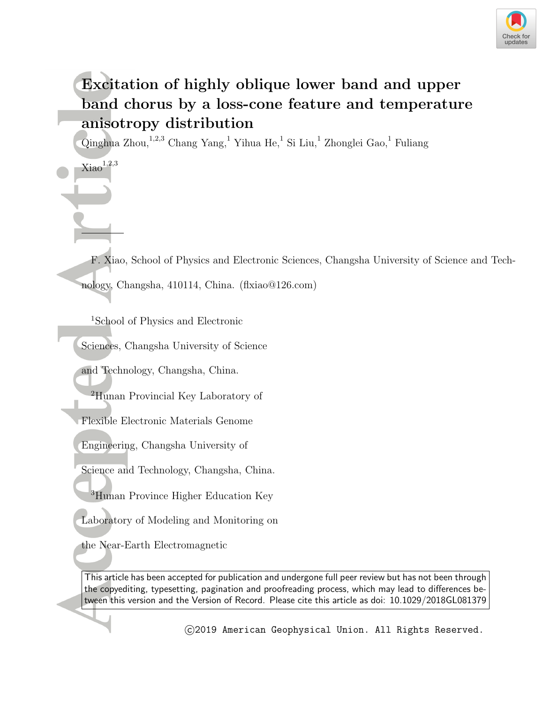

# **Excitation of highly oblique lower band and upper band chorus by a loss-cone feature and temperature anisotropy distribution**

Qinghua Zhou,  $^{1,2,3}$  Chang Yang,  $^{1}$  Yihua He,  $^{1}$  Si Liu,  $^{1}$  Zhonglei Gao,  $^{1}$  Fuliang

F. Xiao, School of Physics and Electronic Sciences, Changsha University of Science and Technology, Changsha, 410114, China. (flxiao@126.com)

<sup>1</sup>School of Physics and Electronic

 $Xiao<sup>1,2,3</sup>$ 

Sciences, Changsha University of Science

and Technology, Changsha, China.

<sup>2</sup>Hunan Provincial Key Laboratory of

Flexible Electronic Materials Genome

Engineering, Changsha University of

Science and Technology, Changsha, China.

<sup>3</sup>Hunan Province Higher Education Key

Laboratory of Modeling and Monitoring on

the Near-Earth Electromagnetic

This article has been accepted for publication and undergone full peer review but has not been through the copyediting, typesetting, pagination and proofreading process, which may lead to differences between this version and the Version of Record. Please cite this article as doi: 10.1029/2018GL081379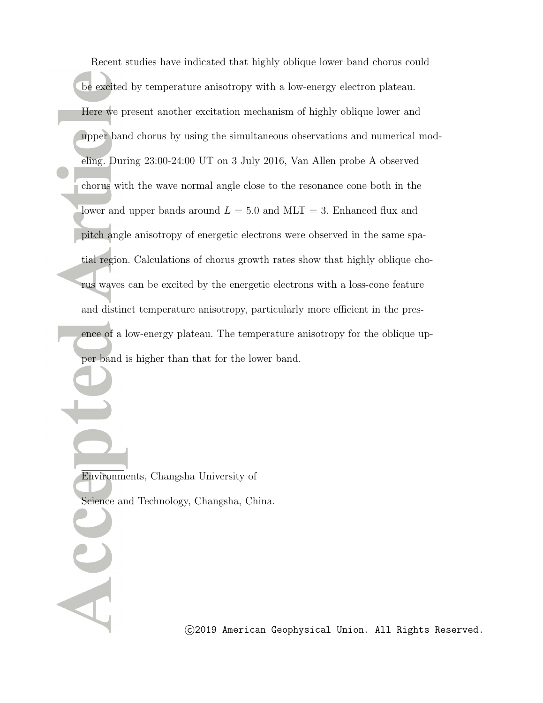Recent studies have indicated that highly oblique lower band chorus could be excited by temperature anisotropy with a low-energy electron plateau. Here we present another excitation mechanism of highly oblique lower and upper band chorus by using the simultaneous observations and numerical modeling. During 23:00-24:00 UT on 3 July 2016, Van Allen probe A observed chorus with the wave normal angle close to the resonance cone both in the lower and upper bands around  $L = 5.0$  and  $MLT = 3$ . Enhanced flux and pitch angle anisotropy of energetic electrons were observed in the same spatial region. Calculations of chorus growth rates show that highly oblique chorus waves can be excited by the energetic electrons with a loss-cone feature and distinct temperature anisotropy, particularly more efficient in the presence of a low-energy plateau. The temperature anisotropy for the oblique upper band is higher than that for the lower band.

Environments, Changsha University of Science and Technology, Changsha, China.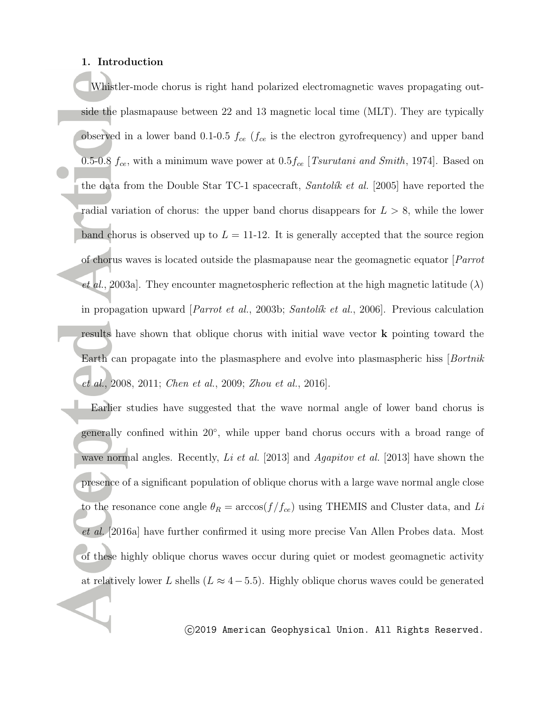# **1. Introduction**

Whistler-mode chorus is right hand polarized electromagnetic waves propagating outside the plasmapause between 22 and 13 magnetic local time (MLT). They are typically observed in a lower band 0.1-0.5 *fce* (*fce* is the electron gyrofrequency) and upper band 0.5-0.8 *fce*, with a minimum wave power at 0.5*fce* [*Tsurutani and Smith*, 1974]. Based on the data from the Double Star TC-1 spacecraft, *Santolik et al.* [2005] have reported the radial variation of chorus: the upper band chorus disappears for *L >* 8, while the lower band chorus is observed up to  $L = 11{\text -}12$ . It is generally accepted that the source region of chorus waves is located outside the plasmapause near the geomagnetic equator [*Parrot et al.*, 2003a]. They encounter magnetospheric reflection at the high magnetic latitude  $(\lambda)$ in propagation upward [*Parrot et al.*, 2003b; *Santolik et al.*, 2006]. Previous calculation results have shown that oblique chorus with initial wave vector **k** pointing toward the Earth can propagate into the plasmasphere and evolve into plasmaspheric hiss [*Bortnik et al.*, 2008, 2011; *Chen et al.*, 2009; *Zhou et al.*, 2016].

Earlier studies have suggested that the wave normal angle of lower band chorus is generally confined within 20*◦* , while upper band chorus occurs with a broad range of wave normal angles. Recently, *Li et al.* [2013] and *Agapitov et al.* [2013] have shown the presence of a significant population of oblique chorus with a large wave normal angle close to the resonance cone angle  $\theta_R = \arccos(f/f_{ce})$  using THEMIS and Cluster data, and *Li et al.* [2016a] have further confirmed it using more precise Van Allen Probes data. Most of these highly oblique chorus waves occur during quiet or modest geomagnetic activity at relatively lower *L* shells ( $L \approx 4-5.5$ ). Highly oblique chorus waves could be generated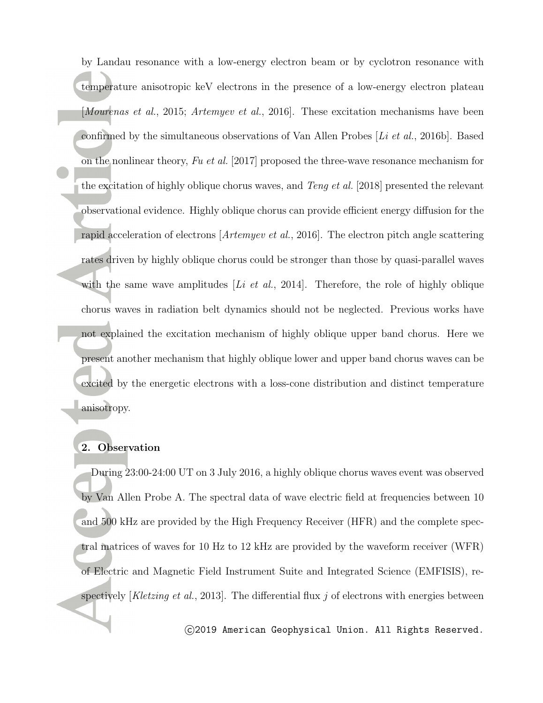by Landau resonance with a low-energy electron beam or by cyclotron resonance with temperature anisotropic keV electrons in the presence of a low-energy electron plateau [*Mourenas et al.*, 2015; *Artemyev et al.*, 2016]. These excitation mechanisms have been confirmed by the simultaneous observations of Van Allen Probes [*Li et al.*, 2016b]. Based on the nonlinear theory, *Fu et al.* [2017] proposed the three-wave resonance mechanism for the excitation of highly oblique chorus waves, and *Teng et al.* [2018] presented the relevant observational evidence. Highly oblique chorus can provide efficient energy diffusion for the rapid acceleration of electrons [*Artemyev et al.*, 2016]. The electron pitch angle scattering rates driven by highly oblique chorus could be stronger than those by quasi-parallel waves with the same wave amplitudes [*Li et al.*, 2014]. Therefore, the role of highly oblique chorus waves in radiation belt dynamics should not be neglected. Previous works have not explained the excitation mechanism of highly oblique upper band chorus. Here we present another mechanism that highly oblique lower and upper band chorus waves can be excited by the energetic electrons with a loss-cone distribution and distinct temperature anisotropy.

# **2. Observation**

During 23:00-24:00 UT on 3 July 2016, a highly oblique chorus waves event was observed by Van Allen Probe A. The spectral data of wave electric field at frequencies between 10 and 500 kHz are provided by the High Frequency Receiver (HFR) and the complete spectral matrices of waves for 10 Hz to 12 kHz are provided by the waveform receiver (WFR) of Electric and Magnetic Field Instrument Suite and Integrated Science (EMFISIS), respectively [*Kletzing et al.*, 2013]. The differential flux *j* of electrons with energies between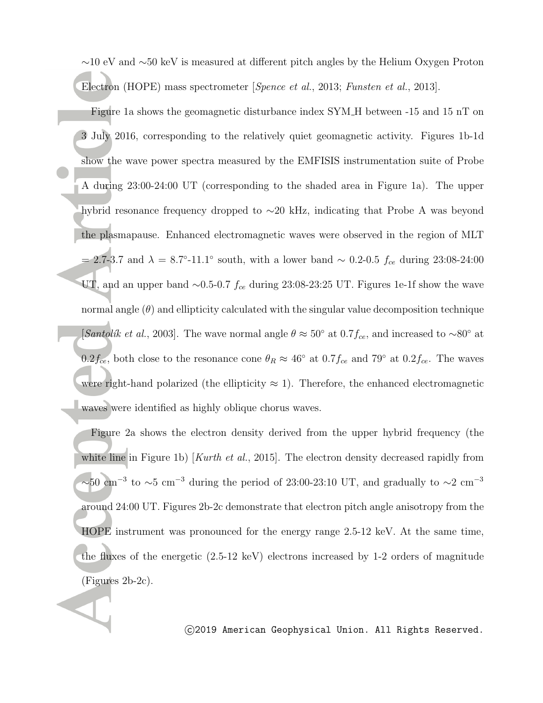*∼*10 eV and *∼*50 keV is measured at different pitch angles by the Helium Oxygen Proton Electron (HOPE) mass spectrometer [*Spence et al.*, 2013; *Funsten et al.*, 2013].

Figure 1a shows the geomagnetic disturbance index SYM H between -15 and 15 nT on 3 July 2016, corresponding to the relatively quiet geomagnetic activity. Figures 1b-1d show the wave power spectra measured by the EMFISIS instrumentation suite of Probe A during 23:00-24:00 UT (corresponding to the shaded area in Figure 1a). The upper hybrid resonance frequency dropped to *∼*20 kHz, indicating that Probe A was beyond the plasmapause. Enhanced electromagnetic waves were observed in the region of MLT = 2.7-3.7 and *λ* = 8.7*◦* -11.1*◦* south, with a lower band *∼* 0.2-0.5 *fce* during 23:08-24:00 UT, and an upper band *∼*0.5-0.7 *fce* during 23:08-23:25 UT. Figures 1e-1f show the wave normal angle  $(\theta)$  and ellipticity calculated with the singular value decomposition technique [*Santolik et al.*, 2003]. The wave normal angle  $\theta \approx 50^\circ$  at 0.7 $f_{ce}$ , and increased to  $\sim 80^\circ$  at 0.2 $f_{ce}$ , both close to the resonance cone  $\theta_R \approx 46^\circ$  at 0.7 $f_{ce}$  and 79<sup>°</sup> at 0.2 $f_{ce}$ . The waves were right-hand polarized (the ellipticity  $\approx$  1). Therefore, the enhanced electromagnetic waves were identified as highly oblique chorus waves.

Figure 2a shows the electron density derived from the upper hybrid frequency (the white line in Figure 1b) [*Kurth et al.*, 2015]. The electron density decreased rapidly from *<sup>∼</sup>*50 cm*−*<sup>3</sup> to *<sup>∼</sup>*5 cm*−*<sup>3</sup> during the period of 23:00-23:10 UT, and gradually to *<sup>∼</sup>*2 cm*−*<sup>3</sup> around 24:00 UT. Figures 2b-2c demonstrate that electron pitch angle anisotropy from the HOPE instrument was pronounced for the energy range 2.5-12 keV. At the same time, the fluxes of the energetic (2.5-12 keV) electrons increased by 1-2 orders of magnitude (Figures 2b-2c).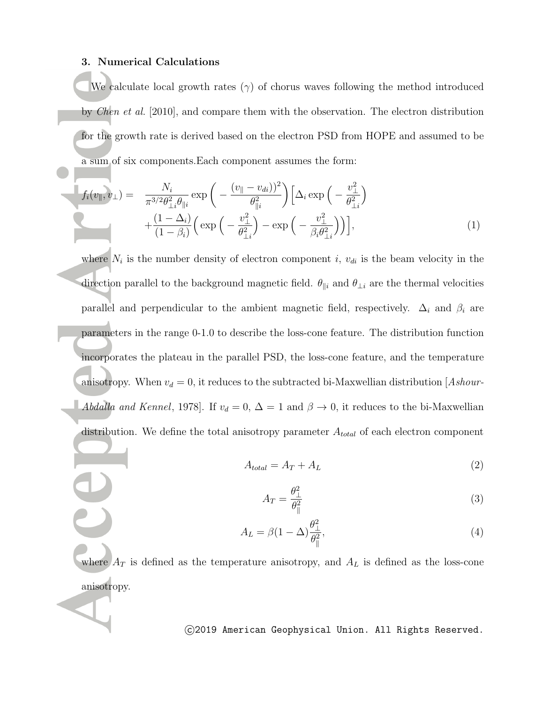# **3. Numerical Calculations**

We calculate local growth rates  $(\gamma)$  of chorus waves following the method introduced by *Chen et al.* [2010], and compare them with the observation. The electron distribution for the growth rate is derived based on the electron PSD from HOPE and assumed to be a sum of six components.Each component assumes the form:

$$
f_i(v_{\parallel}, v_{\perp}) = \frac{N_i}{\pi^{3/2} \theta_{\perp i}^2 \theta_{\parallel i}} \exp\left(-\frac{(v_{\parallel} - v_{di})^2}{\theta_{\parallel i}^2}\right) \left[\Delta_i \exp\left(-\frac{v_{\perp}^2}{\theta_{\perp i}^2}\right) + \frac{(1 - \Delta_i)}{(1 - \beta_i)} \left(\exp\left(-\frac{v_{\perp}^2}{\theta_{\perp i}^2}\right) - \exp\left(-\frac{v_{\perp}^2}{\beta_i \theta_{\perp i}^2}\right)\right)\right],
$$
\n(1)

where  $N_i$  is the number density of electron component *i*,  $v_{di}$  is the beam velocity in the direction parallel to the background magnetic field.  $\theta_{\parallel i}$  and  $\theta_{\perp i}$  are the thermal velocities parallel and perpendicular to the ambient magnetic field, respectively.  $\Delta_i$  and  $\beta_i$  are parameters in the range 0-1.0 to describe the loss-cone feature. The distribution function incorporates the plateau in the parallel PSD, the loss-cone feature, and the temperature anisotropy. When  $v_d = 0$ , it reduces to the subtracted bi-Maxwellian distribution [*Ashour-Abdalla and Kennel*, 1978]. If  $v_d = 0$ ,  $\Delta = 1$  and  $\beta \rightarrow 0$ , it reduces to the bi-Maxwellian distribution. We define the total anisotropy parameter *Atotal* of each electron component

$$
A_{total} = A_T + A_L \tag{2}
$$

$$
A_T = \frac{\theta_\perp^2}{\theta_\parallel^2} \tag{3}
$$

$$
A_L = \beta (1 - \Delta) \frac{\theta_{\perp}^2}{\theta_{\parallel}^2},\tag{4}
$$

where  $A_T$  is defined as the temperature anisotropy, and  $A_L$  is defined as the loss-cone anisotropy.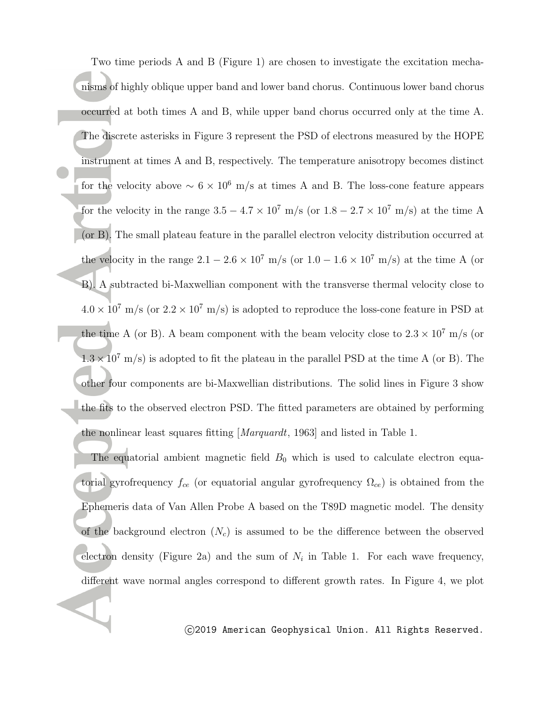Two time periods A and B (Figure 1) are chosen to investigate the excitation mechanisms of highly oblique upper band and lower band chorus. Continuous lower band chorus occurred at both times A and B, while upper band chorus occurred only at the time A. The discrete asterisks in Figure 3 represent the PSD of electrons measured by the HOPE instrument at times A and B, respectively. The temperature anisotropy becomes distinct for the velocity above  $\sim 6 \times 10^6$  m/s at times A and B. The loss-cone feature appears for the velocity in the range  $3.5 - 4.7 \times 10^7$  m/s (or  $1.8 - 2.7 \times 10^7$  m/s) at the time A (or B). The small plateau feature in the parallel electron velocity distribution occurred at the velocity in the range  $2.1 - 2.6 \times 10^7$  m/s (or  $1.0 - 1.6 \times 10^7$  m/s) at the time A (or B). A subtracted bi-Maxwellian component with the transverse thermal velocity close to  $4.0 \times 10^7$  m/s (or  $2.2 \times 10^7$  m/s) is adopted to reproduce the loss-cone feature in PSD at the time A (or B). A beam component with the beam velocity close to  $2.3 \times 10^7$  m/s (or  $1.3 \times 10^7$  m/s) is adopted to fit the plateau in the parallel PSD at the time A (or B). The other four components are bi-Maxwellian distributions. The solid lines in Figure 3 show the fits to the observed electron PSD. The fitted parameters are obtained by performing the nonlinear least squares fitting [*Marquardt*, 1963] and listed in Table 1.

The equatorial ambient magnetic field  $B_0$  which is used to calculate electron equatorial gyrofrequency *fce* (or equatorial angular gyrofrequency Ω*ce*) is obtained from the Ephemeris data of Van Allen Probe A based on the T89D magnetic model. The density of the background electron  $(N_c)$  is assumed to be the difference between the observed electron density (Figure 2a) and the sum of  $N_i$  in Table 1. For each wave frequency, different wave normal angles correspond to different growth rates. In Figure 4, we plot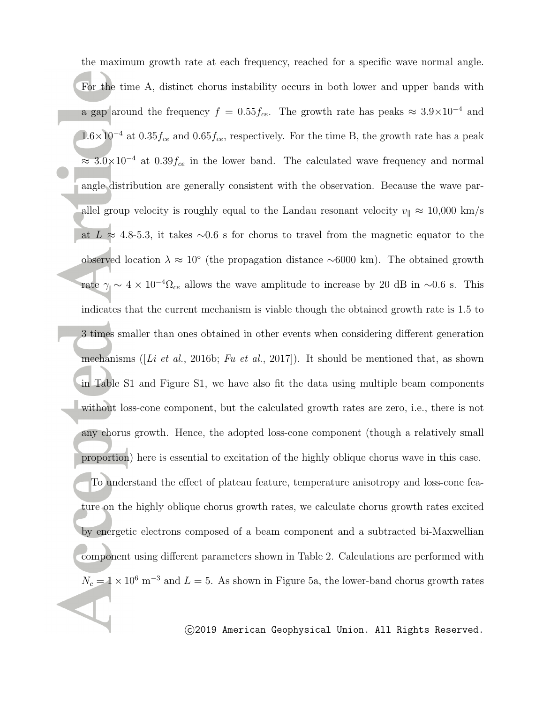the maximum growth rate at each frequency, reached for a specific wave normal angle. For the time A, distinct chorus instability occurs in both lower and upper bands with a gap around the frequency  $f = 0.55f_{ce}$ . The growth rate has peaks  $\approx 3.9 \times 10^{-4}$  and 1.6*×*10*−*<sup>4</sup> at 0.35*fce* and 0.65*fce*, respectively. For the time B, the growth rate has a peak *<sup>≈</sup>* 3.0*×*10*−*<sup>4</sup> at 0.39*fce* in the lower band. The calculated wave frequency and normal angle distribution are generally consistent with the observation. Because the wave parallel group velocity is roughly equal to the Landau resonant velocity  $v_{\parallel} \approx 10,000$  km/s at *L ≈* 4.8-5.3, it takes *∼*0.6 s for chorus to travel from the magnetic equator to the observed location *λ ≈* 10*◦* (the propagation distance *∼*6000 km). The obtained growth rate  $\gamma \sim 4 \times 10^{-4} \Omega_{ce}$  allows the wave amplitude to increase by 20 dB in ~0.6 s. This indicates that the current mechanism is viable though the obtained growth rate is 1.5 to 3 times smaller than ones obtained in other events when considering different generation mechanisms ([*Li et al.*, 2016b; *Fu et al.*, 2017]). It should be mentioned that, as shown in Table S1 and Figure S1, we have also fit the data using multiple beam components without loss-cone component, but the calculated growth rates are zero, i.e., there is not any chorus growth. Hence, the adopted loss-cone component (though a relatively small proportion) here is essential to excitation of the highly oblique chorus wave in this case. To understand the effect of plateau feature, temperature anisotropy and loss-cone feature on the highly oblique chorus growth rates, we calculate chorus growth rates excited by energetic electrons composed of a beam component and a subtracted bi-Maxwellian component using different parameters shown in Table 2. Calculations are performed with  $N_c = 1 \times 10^6$  m<sup>-3</sup> and  $L = 5$ . As shown in Figure 5a, the lower-band chorus growth rates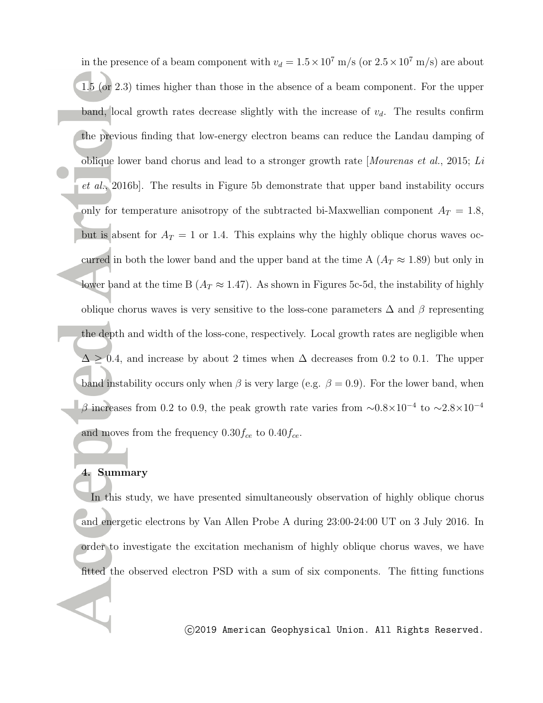in the presence of a beam component with  $v_d = 1.5 \times 10^7$  m/s (or  $2.5 \times 10^7$  m/s) are about 1.5 (or 2.3) times higher than those in the absence of a beam component. For the upper band, local growth rates decrease slightly with the increase of  $v_d$ . The results confirm the previous finding that low-energy electron beams can reduce the Landau damping of oblique lower band chorus and lead to a stronger growth rate [*Mourenas et al.*, 2015; *Li et al.*, 2016b]. The results in Figure 5b demonstrate that upper band instability occurs only for temperature anisotropy of the subtracted bi-Maxwellian component  $A_T = 1.8$ , but is absent for  $A_T = 1$  or 1.4. This explains why the highly oblique chorus waves occurred in both the lower band and the upper band at the time A  $(A_T \approx 1.89)$  but only in lower band at the time B ( $A_T \approx 1.47$ ). As shown in Figures 5c-5d, the instability of highly oblique chorus waves is very sensitive to the loss-cone parameters ∆ and *β* representing the depth and width of the loss-cone, respectively. Local growth rates are negligible when  $\Delta \geq 0.4$ , and increase by about 2 times when  $\Delta$  decreases from 0.2 to 0.1. The upper band instability occurs only when  $\beta$  is very large (e.g.  $\beta = 0.9$ ). For the lower band, when *<sup>β</sup>* increases from 0.2 to 0.9, the peak growth rate varies from *<sup>∼</sup>*0.8*×*10*−*<sup>4</sup> to *<sup>∼</sup>*2.8*×*10*−*<sup>4</sup> and moves from the frequency 0.30*fce* to 0.40*fce*.

# **4. Summary**

In this study, we have presented simultaneously observation of highly oblique chorus and energetic electrons by Van Allen Probe A during 23:00-24:00 UT on 3 July 2016. In order to investigate the excitation mechanism of highly oblique chorus waves, we have fitted the observed electron PSD with a sum of six components. The fitting functions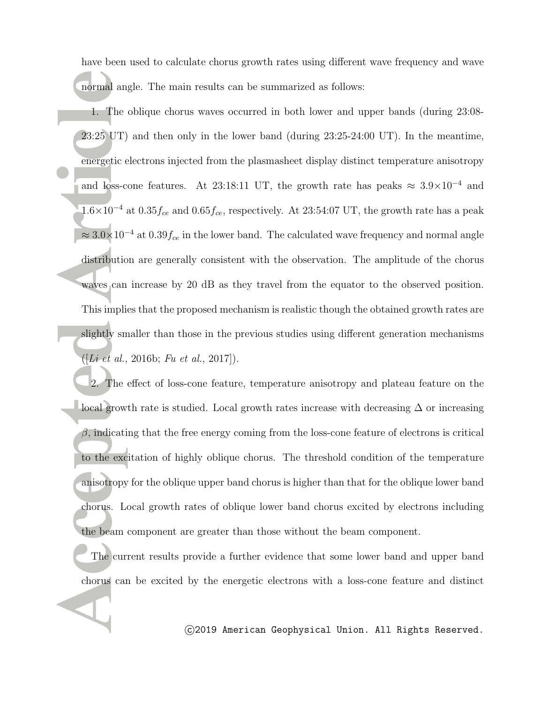have been used to calculate chorus growth rates using different wave frequency and wave normal angle. The main results can be summarized as follows:

1. The oblique chorus waves occurred in both lower and upper bands (during 23:08- 23:25 UT) and then only in the lower band (during 23:25-24:00 UT). In the meantime, energetic electrons injected from the plasmasheet display distinct temperature anisotropy and loss-cone features. At 23:18:11 UT, the growth rate has peaks  $\approx 3.9 \times 10^{-4}$  and 1.6*×*10*−*<sup>4</sup> at 0.35*fce* and 0.65*fce*, respectively. At 23:54:07 UT, the growth rate has a peak *<sup>≈</sup>* 3.0*×*10*−*<sup>4</sup> at 0.39*fce* in the lower band. The calculated wave frequency and normal angle distribution are generally consistent with the observation. The amplitude of the chorus waves can increase by 20 dB as they travel from the equator to the observed position. This implies that the proposed mechanism is realistic though the obtained growth rates are slightly smaller than those in the previous studies using different generation mechanisms ([*Li et al.*, 2016b; *Fu et al.*, 2017]).

2. The effect of loss-cone feature, temperature anisotropy and plateau feature on the local growth rate is studied. Local growth rates increase with decreasing  $\Delta$  or increasing *β*, indicating that the free energy coming from the loss-cone feature of electrons is critical to the excitation of highly oblique chorus. The threshold condition of the temperature anisotropy for the oblique upper band chorus is higher than that for the oblique lower band chorus. Local growth rates of oblique lower band chorus excited by electrons including the beam component are greater than those without the beam component.

The current results provide a further evidence that some lower band and upper band chorus can be excited by the energetic electrons with a loss-cone feature and distinct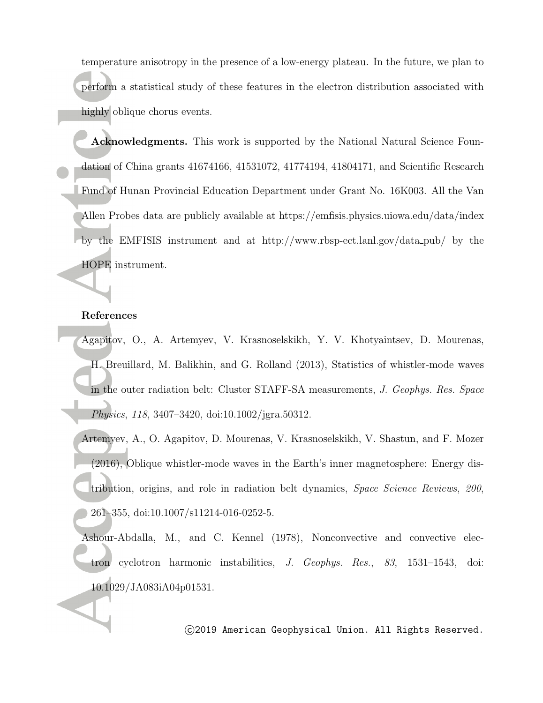temperature anisotropy in the presence of a low-energy plateau. In the future, we plan to perform a statistical study of these features in the electron distribution associated with highly oblique chorus events.

**Acknowledgments.** This work is supported by the National Natural Science Foundation of China grants 41674166, 41531072, 41774194, 41804171, and Scientific Research Fund of Hunan Provincial Education Department under Grant No. 16K003. All the Van Allen Probes data are publicly available at https://emfisis.physics.uiowa.edu/data/index by the EMFISIS instrument and at http://www.rbsp-ect.lanl.gov/data pub/ by the HOPE instrument.

### **References**

- Agapitov, O., A. Artemyev, V. Krasnoselskikh, Y. V. Khotyaintsev, D. Mourenas, H. Breuillard, M. Balikhin, and G. Rolland (2013), Statistics of whistler-mode waves in the outer radiation belt: Cluster STAFF-SA measurements, *J. Geophys. Res. Space Physics*, *118*, 3407–3420, doi:10.1002/jgra.50312.
- Artemyev, A., O. Agapitov, D. Mourenas, V. Krasnoselskikh, V. Shastun, and F. Mozer (2016), Oblique whistler-mode waves in the Earth's inner magnetosphere: Energy distribution, origins, and role in radiation belt dynamics, *Space Science Reviews*, *200*, 261–355, doi:10.1007/s11214-016-0252-5.
- Ashour-Abdalla, M., and C. Kennel (1978), Nonconvective and convective electron cyclotron harmonic instabilities, *J. Geophys. Res.*, *83*, 1531–1543, doi: 10.1029/JA083iA04p01531.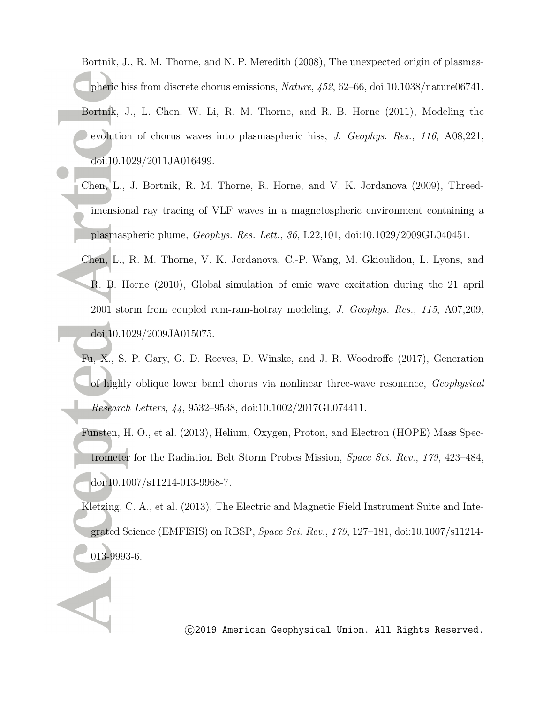Bortnik, J., R. M. Thorne, and N. P. Meredith (2008), The unexpected origin of plasmaspheric hiss from discrete chorus emissions, *Nature*, *452*, 62–66, doi:10.1038/nature06741. Bortnik, J., L. Chen, W. Li, R. M. Thorne, and R. B. Horne (2011), Modeling the evolution of chorus waves into plasmaspheric hiss, *J. Geophys. Res.*, *116*, A08,221, doi:10.1029/2011JA016499.

- Chen, L., J. Bortnik, R. M. Thorne, R. Horne, and V. K. Jordanova (2009), Threedimensional ray tracing of VLF waves in a magnetospheric environment containing a plasmaspheric plume, *Geophys. Res. Lett.*, *36*, L22,101, doi:10.1029/2009GL040451.
- Chen, L., R. M. Thorne, V. K. Jordanova, C.-P. Wang, M. Gkioulidou, L. Lyons, and R. B. Horne (2010), Global simulation of emic wave excitation during the 21 april 2001 storm from coupled rcm-ram-hotray modeling, *J. Geophys. Res.*, *115*, A07,209, doi:10.1029/2009JA015075.
- Fu, X., S. P. Gary, G. D. Reeves, D. Winske, and J. R. Woodroffe (2017), Generation of highly oblique lower band chorus via nonlinear three-wave resonance, *Geophysical Research Letters*, *44*, 9532–9538, doi:10.1002/2017GL074411.
- Funsten, H. O., et al. (2013), Helium, Oxygen, Proton, and Electron (HOPE) Mass Spectrometer for the Radiation Belt Storm Probes Mission, *Space Sci. Rev.*, *179*, 423–484, doi:10.1007/s11214-013-9968-7.
- Kletzing, C. A., et al. (2013), The Electric and Magnetic Field Instrument Suite and Integrated Science (EMFISIS) on RBSP, *Space Sci. Rev.*, *179*, 127–181, doi:10.1007/s11214- 013-9993-6.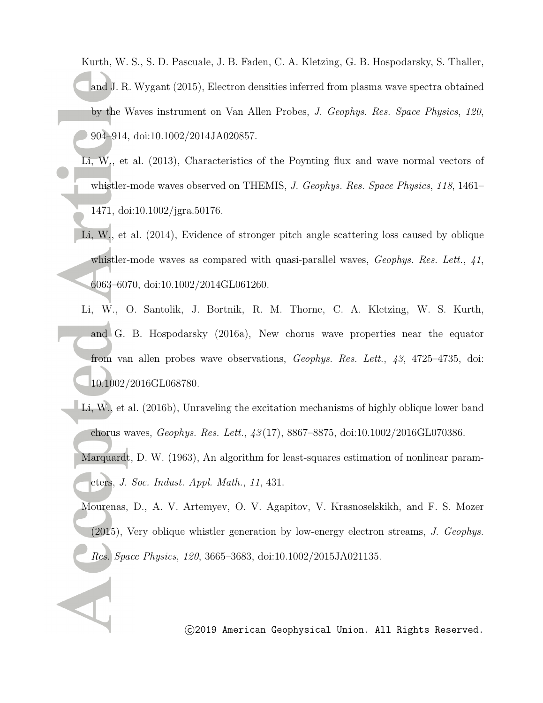Kurth, W. S., S. D. Pascuale, J. B. Faden, C. A. Kletzing, G. B. Hospodarsky, S. Thaller, and J. R. Wygant (2015), Electron densities inferred from plasma wave spectra obtained by the Waves instrument on Van Allen Probes, *J. Geophys. Res. Space Physics*, *120*, 904–914, doi:10.1002/2014JA020857.

- Li, W., et al. (2013), Characteristics of the Poynting flux and wave normal vectors of whistler-mode waves observed on THEMIS, *J. Geophys. Res. Space Physics*, *118*, 1461– 1471, doi:10.1002/jgra.50176.
- Li, W., et al. (2014), Evidence of stronger pitch angle scattering loss caused by oblique whistler-mode waves as compared with quasi-parallel waves, *Geophys. Res. Lett.*, *41*, 6063–6070, doi:10.1002/2014GL061260.
- Li, W., O. Santolik, J. Bortnik, R. M. Thorne, C. A. Kletzing, W. S. Kurth, and G. B. Hospodarsky (2016a), New chorus wave properties near the equator from van allen probes wave observations, *Geophys. Res. Lett.*, *43*, 4725–4735, doi: 10.1002/2016GL068780.
- Li, W., et al. (2016b), Unraveling the excitation mechanisms of highly oblique lower band chorus waves, *Geophys. Res. Lett.*, *43* (17), 8867–8875, doi:10.1002/2016GL070386.
	- Marquardt, D. W. (1963), An algorithm for least-squares estimation of nonlinear parameters, *J. Soc. Indust. Appl. Math.*, *11*, 431.
	- Mourenas, D., A. V. Artemyev, O. V. Agapitov, V. Krasnoselskikh, and F. S. Mozer (2015), Very oblique whistler generation by low-energy electron streams, *J. Geophys. Res. Space Physics*, *120*, 3665–3683, doi:10.1002/2015JA021135.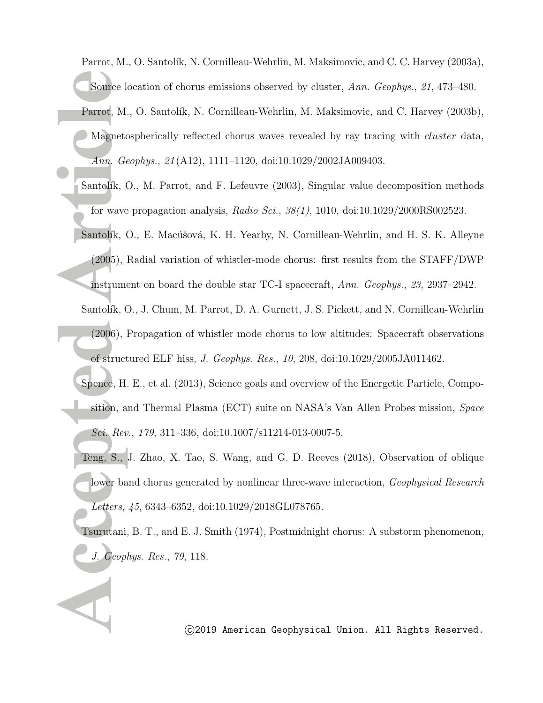Parrot, M., O. Santolík, N. Cornilleau-Wehrlin, M. Maksimovic, and C. C. Harvey (2003a), Source location of chorus emissions observed by cluster, *Ann. Geophys.*, *21*, 473–480.

- Parrot, M., O. Santolík, N. Cornilleau-Wehrlin, M. Maksimovic, and C. Harvey (2003b), Magnetospherically reflected chorus waves revealed by ray tracing with *cluster* data, *Ann. Geophys.*, *21* (A12), 1111–1120, doi:10.1029/2002JA009403.
- Santolík, O., M. Parrot, and F. Lefeuvre (2003), Singular value decomposition methods for wave propagation analysis, *Radio Sci.*, *38(1)*, 1010, doi:10.1029/2000RS002523.
- Santolík, O., E. Macúšová, K. H. Yearby, N. Cornilleau-Wehrlin, and H. S. K. Alleyne (2005), Radial variation of whistler-mode chorus: first results from the STAFF/DWP
- instrument on board the double star TC-I spacecraft, *Ann. Geophys.*, *23*, 2937–2942.
- Santolík, O., J. Chum, M. Parrot, D. A. Gurnett, J. S. Pickett, and N. Cornilleau-Wehrlin (2006), Propagation of whistler mode chorus to low altitudes: Spacecraft observations of structured ELF hiss, *J. Geophys. Res.*, *10*, 208, doi:10.1029/2005JA011462.
- Spence, H. E., et al. (2013), Science goals and overview of the Energetic Particle, Composition, and Thermal Plasma (ECT) suite on NASA's Van Allen Probes mission, *Space Sci. Rev.*, *179*, 311–336, doi:10.1007/s11214-013-0007-5.
- Teng, S., J. Zhao, X. Tao, S. Wang, and G. D. Reeves (2018), Observation of oblique lower band chorus generated by nonlinear three-wave interaction, *Geophysical Research Letters*, *45*, 6343–6352, doi:10.1029/2018GL078765.
- Tsurutani, B. T., and E. J. Smith (1974), Postmidnight chorus: A substorm phenomenon, *J. Geophys. Res.*, *79*, 118.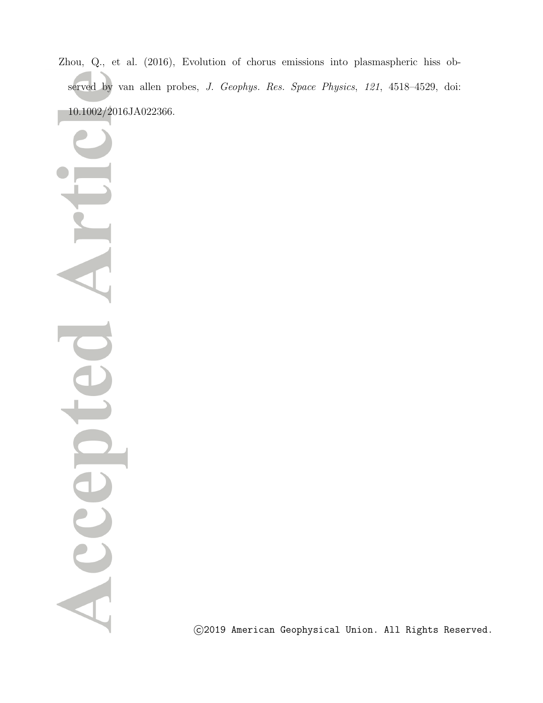Zhou, Q., et al. (2016), Evolution of chorus emissions into plasmaspheric hiss observed by van allen probes, *J. Geophys. Res. Space Physics*, *121*, 4518–4529, doi: 10.1002/2016JA022366.

Acce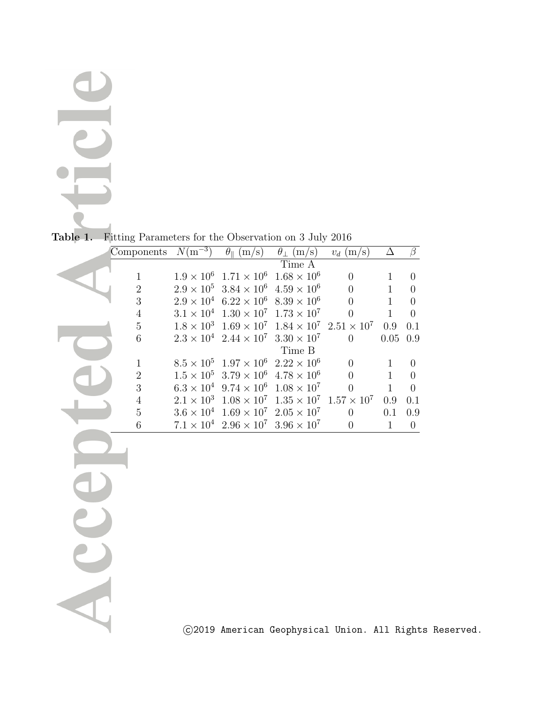ACL

**Table 1.** Fitting Parameters for the Observation on 3 July 2016

| Components     | $N(m^{-3})$ | $\theta_{\parallel}$ (m/s)                                                 | $\theta_{\perp}$ (m/s) | $v_d$ (m/s)    | Δ            | $\beta$        |
|----------------|-------------|----------------------------------------------------------------------------|------------------------|----------------|--------------|----------------|
|                |             |                                                                            | Time A                 |                |              |                |
| 1              |             | $1.9 \times 10^6$ $1.71 \times 10^6$                                       | $1.68 \times 10^{6}$   | $\Omega$       |              | $\Omega$       |
| $\overline{2}$ |             | $2.9 \times 10^5$ 3.84 $\times 10^6$                                       | $4.59 \times 10^{6}$   | 0              |              | 0              |
| 3              |             | $2.9 \times 10^4$ 6.22 $\times 10^6$ 8.39 $\times 10^6$                    |                        | $\Omega$       | 1            | 0              |
| 4              |             | $3.1 \times 10^4$ $1.30 \times 10^7$ $1.73 \times 10^7$                    |                        | $\Omega$       | 1            | $\Omega$       |
| $\overline{5}$ |             | $1.8 \times 10^3$ $1.69 \times 10^7$ $1.84 \times 10^7$ $2.51 \times 10^7$ |                        |                | 0.9          | 0.1            |
| 6              |             | $2.3 \times 10^4$ $2.44 \times 10^7$ $3.30 \times 10^7$                    |                        | $\theta$       | 0.05         | 0.9            |
|                |             |                                                                            | Time B                 |                |              |                |
| $\mathbf{1}$   |             | $8.5 \times 10^5$ $1.97 \times 10^6$                                       | $2.22 \times 10^6$     | $\Omega$       | 1            | $\Omega$       |
| $\overline{2}$ |             | $1.5 \times 10^5$ 3.79 $\times 10^6$                                       | $4.78 \times 10^{6}$   | $\Omega$       | 1            | $\theta$       |
| 3              |             | $6.3 \times 10^4$ 9.74 $\times 10^6$ $1.08 \times 10^7$                    |                        | $\Omega$       | $\mathbf{1}$ | $\Omega$       |
| 4              |             | $2.1 \times 10^3$ $1.08 \times 10^7$ $1.35 \times 10^7$ $1.57 \times 10^7$ |                        |                | 0.9          | 0.1            |
| 5              |             | $3.6 \times 10^4$ $1.69 \times 10^7$ $2.05 \times 10^7$                    |                        | $\overline{0}$ | 0.1          | 0.9            |
| 6              |             | $7.1 \times 10^4$ $2.96 \times 10^7$ $3.96 \times 10^7$                    |                        | $\Omega$       | $\mathbf{1}$ | $\overline{0}$ |
|                |             |                                                                            |                        |                |              |                |
|                |             |                                                                            |                        |                |              |                |
|                |             |                                                                            |                        |                |              |                |
|                |             |                                                                            |                        |                |              |                |
|                |             |                                                                            |                        |                |              |                |
|                |             |                                                                            |                        |                |              |                |
|                |             |                                                                            |                        |                |              |                |
|                |             |                                                                            |                        |                |              |                |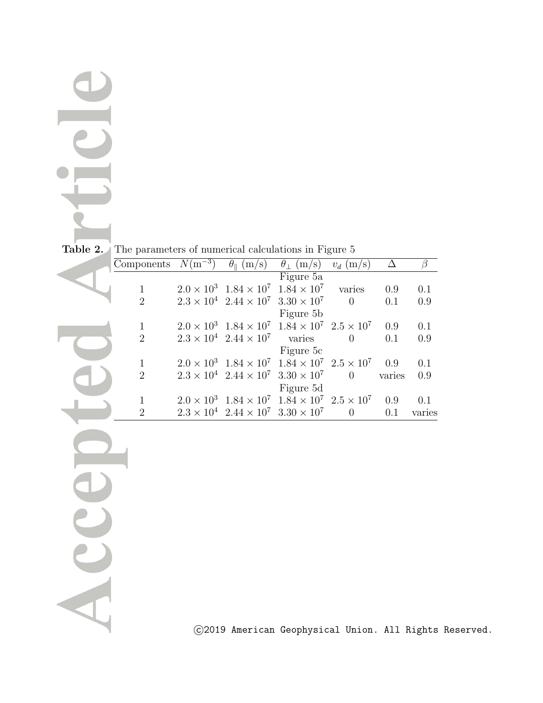Accer

**Table 2.** The parameters of numerical calculations in Figure 5

|                             | Components $N(\overline{m}^{-3})$ | $\theta_{\parallel}$ (m/s)                              | $\theta_{\perp}$ (m/s)                                                    | $v_d$ (m/s) |        |        |
|-----------------------------|-----------------------------------|---------------------------------------------------------|---------------------------------------------------------------------------|-------------|--------|--------|
|                             |                                   |                                                         | Figure 5a                                                                 |             |        |        |
|                             |                                   | $2.0 \times 10^3$ $1.84 \times 10^7$ $1.84 \times 10^7$ |                                                                           | varies      | 0.9    | 0.1    |
| $\mathcal{D}_{\mathcal{L}}$ |                                   |                                                         | $2.3 \times 10^4$ $2.44 \times 10^7$ $3.30 \times 10^7$                   | $\Omega$    | 0.1    | 0.9    |
|                             |                                   |                                                         | Figure 5b                                                                 |             |        |        |
|                             |                                   |                                                         | $2.0 \times 10^3$ $1.84 \times 10^7$ $1.84 \times 10^7$ $2.5 \times 10^7$ |             | 0.9    | 0.1    |
| $\overline{2}$              |                                   | $2.3 \times 10^4$ $2.44 \times 10^7$ varies             |                                                                           | $\Omega$    | 0.1    | 0.9    |
|                             |                                   |                                                         | Figure 5c                                                                 |             |        |        |
|                             |                                   |                                                         | $2.0 \times 10^3$ $1.84 \times 10^7$ $1.84 \times 10^7$ $2.5 \times 10^7$ |             | 0.9    | 0.1    |
| $\overline{2}$              |                                   |                                                         | $2.3 \times 10^4$ $2.44 \times 10^7$ $3.30 \times 10^7$                   | $\Omega$    | varies | 0.9    |
|                             |                                   |                                                         | Figure 5d                                                                 |             |        |        |
|                             |                                   |                                                         | $2.0 \times 10^3$ $1.84 \times 10^7$ $1.84 \times 10^7$ $2.5 \times 10^7$ |             | 0.9    | 0.1    |
| $\overline{2}$              |                                   | $2.3 \times 10^4$ $2.44 \times 10^7$ $3.30 \times 10^7$ |                                                                           | $\theta$    | 0.1    | varies |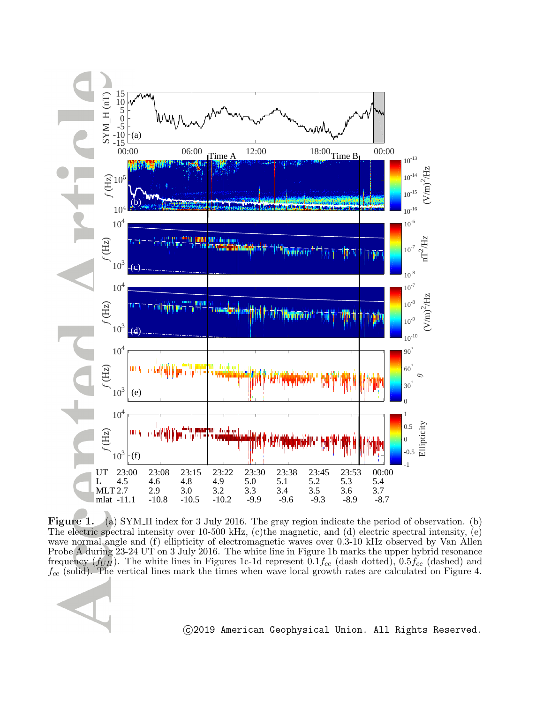

**Figure 1.** (a) SYM H index for 3 July 2016. The gray region indicate the period of observation. (b) The electric spectral intensity over 10-500 kHz, (c)the magnetic, and (d) electric spectral intensity, (e) wave normal angle and (f) ellipticity of electromagnetic waves over 0.3-10 kHz observed by Van Allen Probe A during 23-24 UT on 3 July 2016. The white line in Figure 1b marks the upper hybrid resonance frequency (*fUH*). The white lines in Figures 1c-1d represent 0*.*1*fce* (dash dotted), 0.5*fce* (dashed) and *fce* (solid). The vertical lines mark the times when wave local growth rates are calculated on Figure 4.

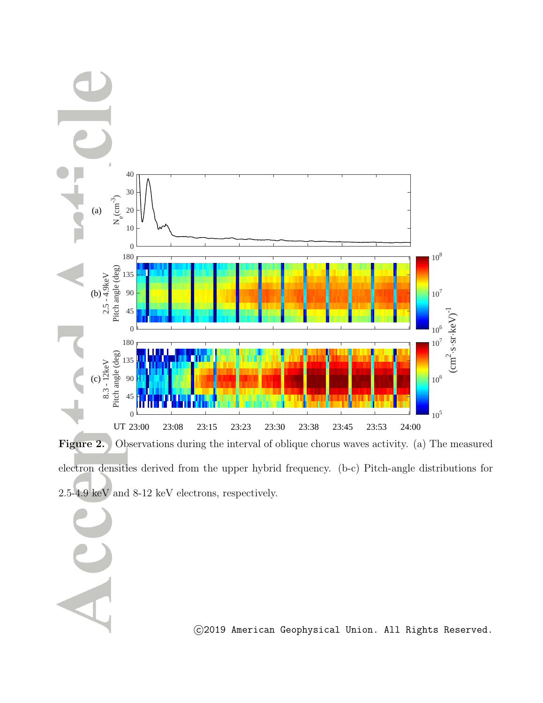

Figure 2. Observations during the interval of oblique chorus waves activity. (a) The measured electron densities derived from the upper hybrid frequency. (b-c) Pitch-angle distributions for 2.5-4.9 keV and 8-12 keV electrons, respectively.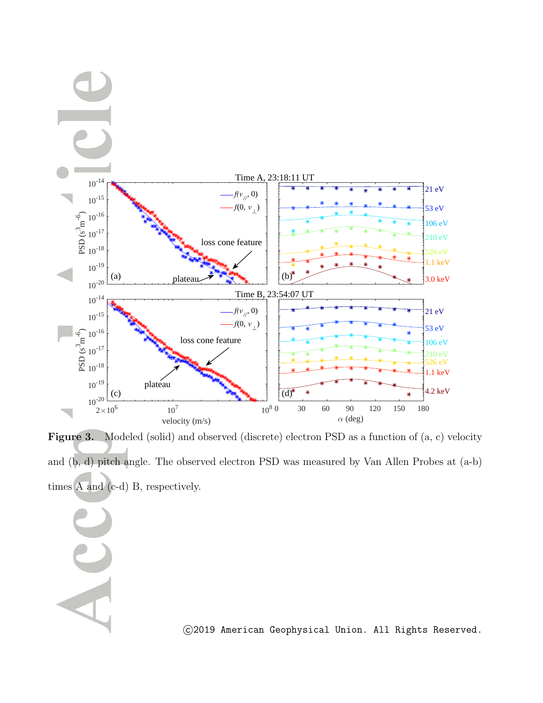

**Figure 3.** Modeled (solid) and observed (discrete) electron PSD as a function of  $(a, c)$  velocity and (b, d) pitch angle. The observed electron PSD was measured by Van Allen Probes at (a-b) times A and (c-d) B, respectively.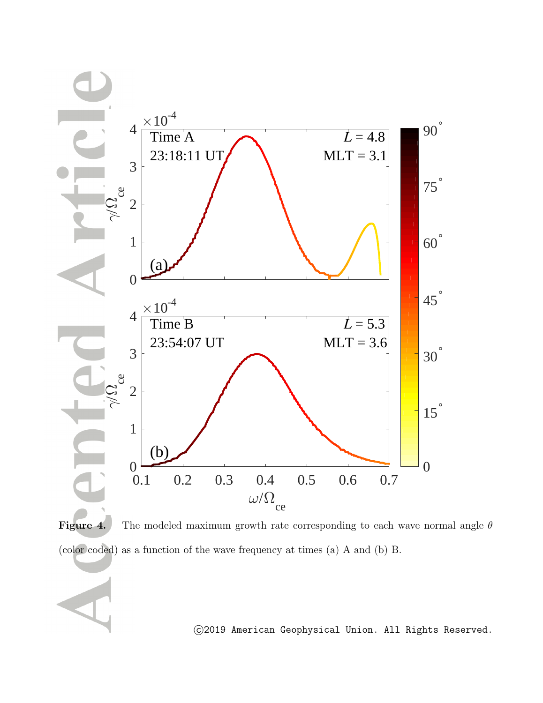